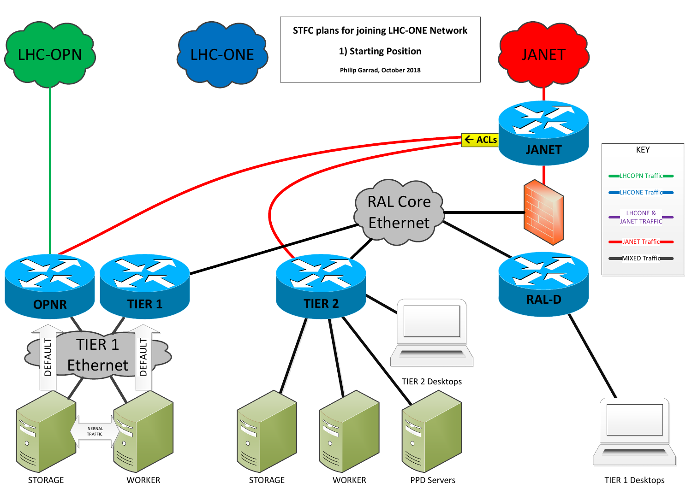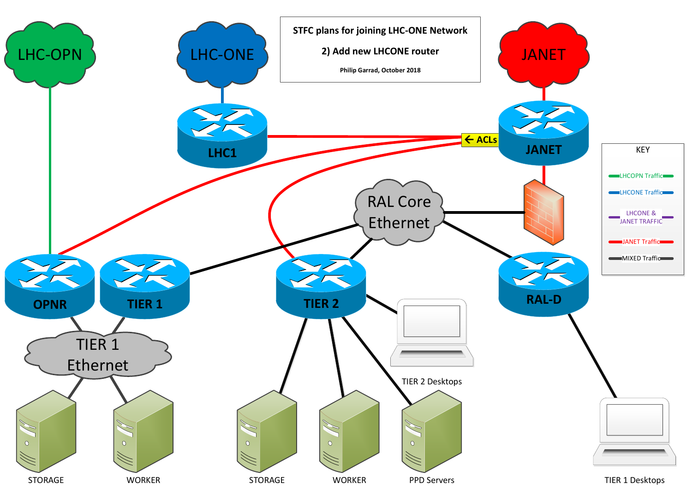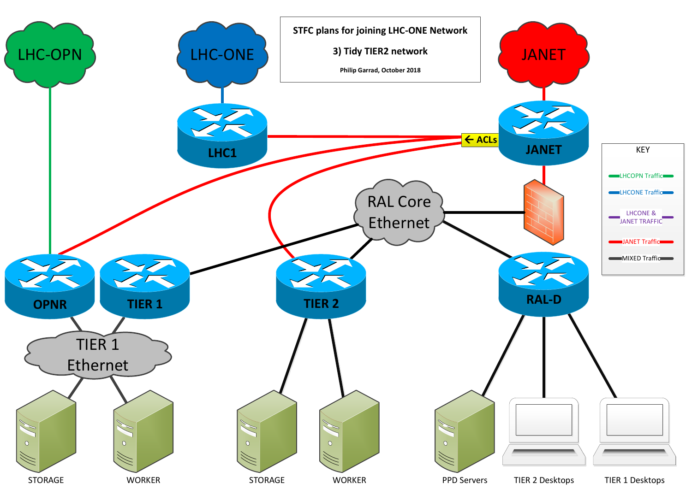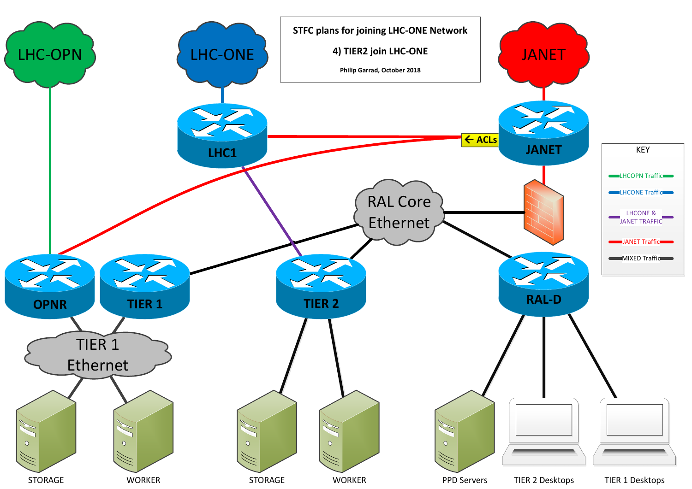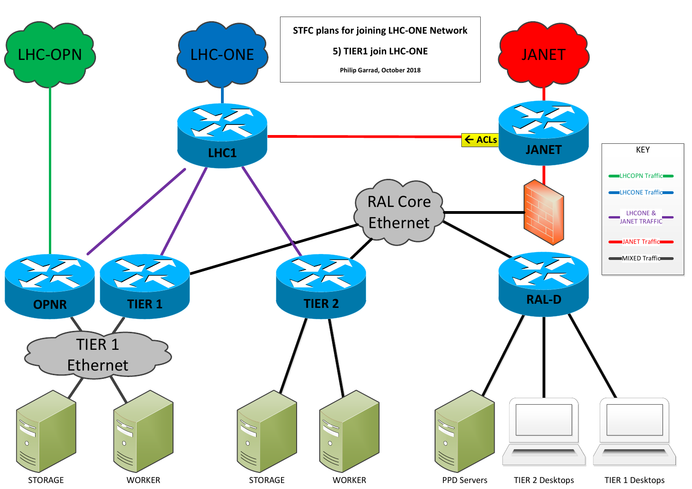